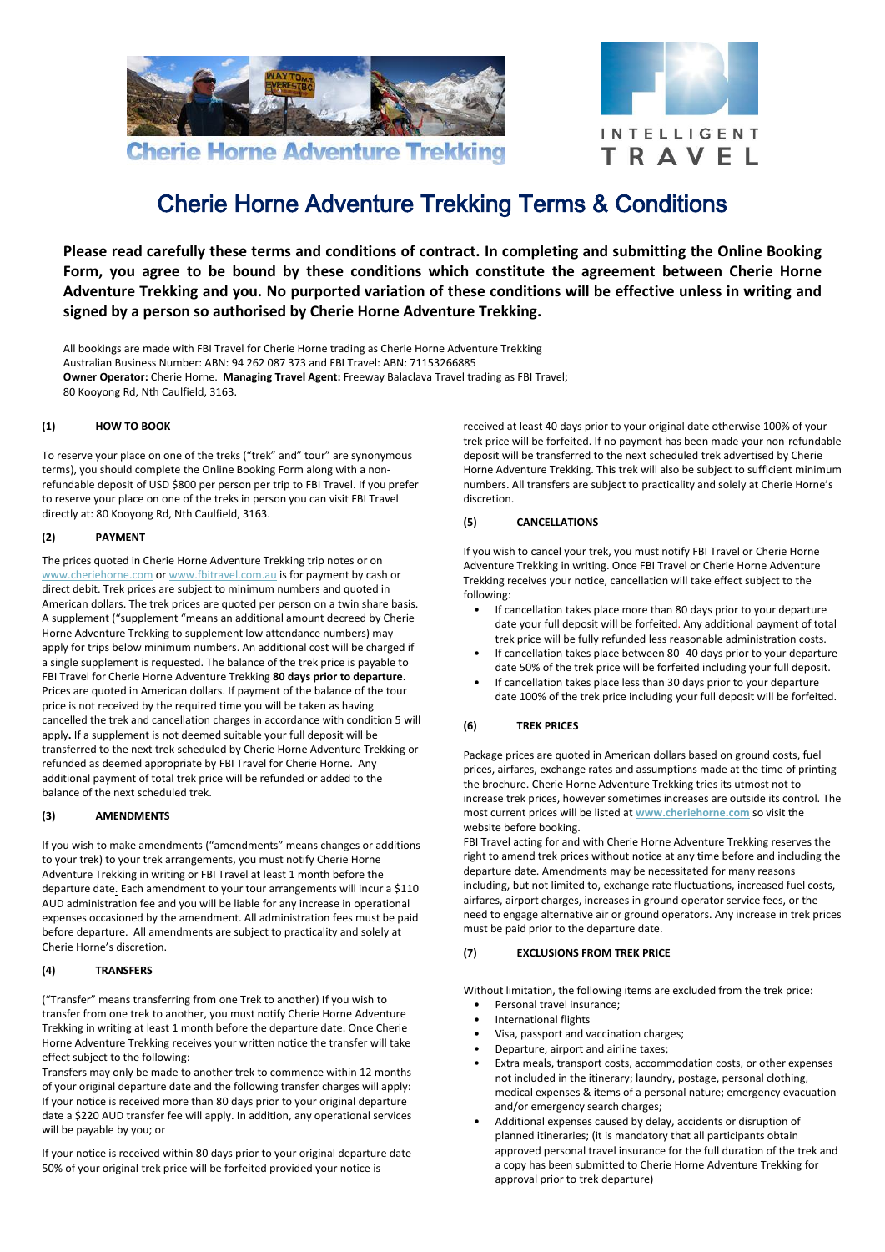



# Cherie Horne Adventure Trekking Terms & Conditions

**Please read carefully these terms and conditions of contract. In completing and submitting the Online Booking Form, you agree to be bound by these conditions which constitute the agreement between Cherie Horne Adventure Trekking and you. No purported variation of these conditions will be effective unless in writing and signed by a person so authorised by Cherie Horne Adventure Trekking.**

All bookings are made with FBI Travel for Cherie Horne trading as Cherie Horne Adventure Trekking Australian Business Number: ABN: 94 262 087 373 and FBI Travel: ABN: 71153266885 **Owner Operator:** Cherie Horne. **Managing Travel Agent:** Freeway Balaclava Travel trading as FBI Travel; 80 Kooyong Rd, Nth Caulfield, 3163.

## **(1) HOW TO BOOK**

To reserve your place on one of the treks ("trek" and" tour" are synonymous terms), you should complete the Online Booking Form along with a nonrefundable deposit of USD \$800 per person per trip to FBI Travel. If you prefer to reserve your place on one of the treks in person you can visit FBI Travel directly at: 80 Kooyong Rd, Nth Caulfield, 3163.

# **(2) PAYMENT**

The prices quoted in Cherie Horne Adventure Trekking trip notes or on [www.cheriehorne.com](../../AppData/Local/Microsoft/Windows/Temporary%20Internet%20Files/Content.Outlook/EOPVA759/www.cheriehorne.com) o[r www.fbitravel.com.au](http://www.fbitravel.com.au/) is for payment by cash or direct debit. Trek prices are subject to minimum numbers and quoted in American dollars. The trek prices are quoted per person on a twin share basis. A supplement ("supplement "means an additional amount decreed by Cherie Horne Adventure Trekking to supplement low attendance numbers) may apply for trips below minimum numbers. An additional cost will be charged if a single supplement is requested. The balance of the trek price is payable to FBI Travel for Cherie Horne Adventure Trekking **80 days prior to departure**. Prices are quoted in American dollars. If payment of the balance of the tour price is not received by the required time you will be taken as having cancelled the trek and cancellation charges in accordance with condition 5 will apply**.** If a supplement is not deemed suitable your full deposit will be transferred to the next trek scheduled by Cherie Horne Adventure Trekking or refunded as deemed appropriate by FBI Travel for Cherie Horne. Any additional payment of total trek price will be refunded or added to the balance of the next scheduled trek.

## **(3) AMENDMENTS**

If you wish to make amendments ("amendments" means changes or additions to your trek) to your trek arrangements, you must notify Cherie Horne Adventure Trekking in writing or FBI Travel at least 1 month before the departure date. Each amendment to your tour arrangements will incur a \$110 AUD administration fee and you will be liable for any increase in operational expenses occasioned by the amendment. All administration fees must be paid before departure. All amendments are subject to practicality and solely at Cherie Horne's discretion.

## **(4) TRANSFERS**

("Transfer" means transferring from one Trek to another) If you wish to transfer from one trek to another, you must notify Cherie Horne Adventure Trekking in writing at least 1 month before the departure date. Once Cherie Horne Adventure Trekking receives your written notice the transfer will take effect subject to the following:

Transfers may only be made to another trek to commence within 12 months of your original departure date and the following transfer charges will apply: If your notice is received more than 80 days prior to your original departure date a \$220 AUD transfer fee will apply. In addition, any operational services will be payable by you; or

If your notice is received within 80 days prior to your original departure date 50% of your original trek price will be forfeited provided your notice is

received at least 40 days prior to your original date otherwise 100% of your trek price will be forfeited. If no payment has been made your non-refundable deposit will be transferred to the next scheduled trek advertised by Cherie Horne Adventure Trekking. This trek will also be subject to sufficient minimum numbers. All transfers are subject to practicality and solely at Cherie Horne's discretion.

# **(5) CANCELLATIONS**

If you wish to cancel your trek, you must notify FBI Travel or Cherie Horne Adventure Trekking in writing. Once FBI Travel or Cherie Horne Adventure Trekking receives your notice, cancellation will take effect subject to the following:

- If cancellation takes place more than 80 days prior to your departure date your full deposit will be forfeited. Any additional payment of total trek price will be fully refunded less reasonable administration costs.
- If cancellation takes place between 80- 40 days prior to your departure date 50% of the trek price will be forfeited including your full deposit. • If cancellation takes place less than 30 days prior to your departure
- date 100% of the trek price including your full deposit will be forfeited.

## **(6) TREK PRICES**

Package prices are quoted in American dollars based on ground costs, fuel prices, airfares, exchange rates and assumptions made at the time of printing the brochure. Cherie Horne Adventure Trekking tries its utmost not to increase trek prices, however sometimes increases are outside its control. The most current prices will be listed at **[www.cheriehorne.com](http://www.cheriehorne.com/)** so visit the website before booking.

FBI Travel acting for and with Cherie Horne Adventure Trekking reserves the right to amend trek prices without notice at any time before and including the departure date. Amendments may be necessitated for many reasons including, but not limited to, exchange rate fluctuations, increased fuel costs, airfares, airport charges, increases in ground operator service fees, or the need to engage alternative air or ground operators. Any increase in trek prices must be paid prior to the departure date.

## **(7) EXCLUSIONS FROM TREK PRICE**

Without limitation, the following items are excluded from the trek price: • Personal travel insurance;

- International flights
- Visa, passport and vaccination charges;
- Departure, airport and airline taxes;
- Extra meals, transport costs, accommodation costs, or other expenses not included in the itinerary; laundry, postage, personal clothing, medical expenses & items of a personal nature; emergency evacuation and/or emergency search charges;
- Additional expenses caused by delay, accidents or disruption of planned itineraries; (it is mandatory that all participants obtain approved personal travel insurance for the full duration of the trek and a copy has been submitted to Cherie Horne Adventure Trekking for approval prior to trek departure)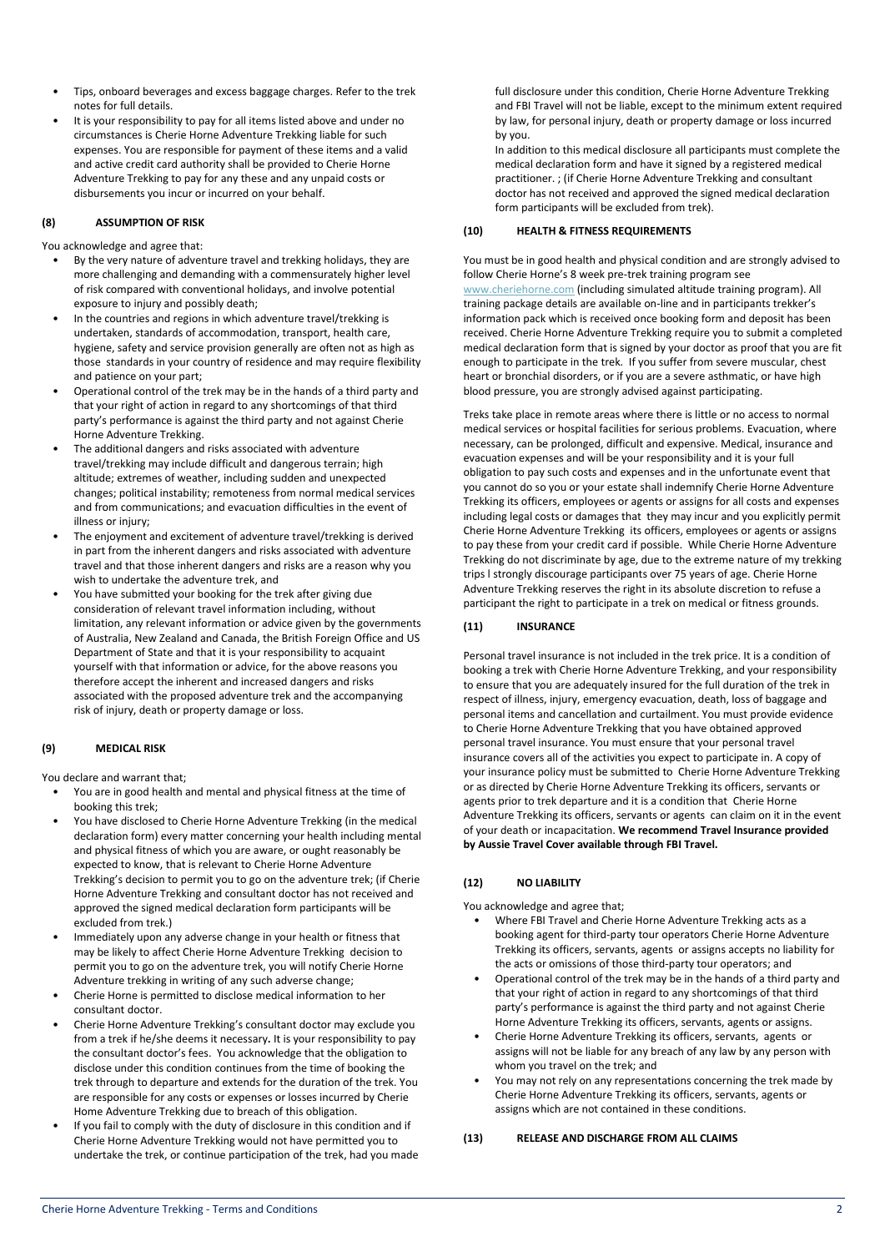- Tips, onboard beverages and excess baggage charges. Refer to the trek notes for full details.
- It is your responsibility to pay for all items listed above and under no circumstances is Cherie Horne Adventure Trekking liable for such expenses. You are responsible for payment of these items and a valid and active credit card authority shall be provided to Cherie Horne Adventure Trekking to pay for any these and any unpaid costs or disbursements you incur or incurred on your behalf.

## **(8) ASSUMPTION OF RISK**

You acknowledge and agree that:

- By the very nature of adventure travel and trekking holidays, they are more challenging and demanding with a commensurately higher level of risk compared with conventional holidays, and involve potential exposure to injury and possibly death;
- In the countries and regions in which adventure travel/trekking is undertaken, standards of accommodation, transport, health care, hygiene, safety and service provision generally are often not as high as those standards in your country of residence and may require flexibility and patience on your part;
- Operational control of the trek may be in the hands of a third party and that your right of action in regard to any shortcomings of that third party's performance is against the third party and not against Cherie Horne Adventure Trekking.
- The additional dangers and risks associated with adventure travel/trekking may include difficult and dangerous terrain; high altitude; extremes of weather, including sudden and unexpected changes; political instability; remoteness from normal medical services and from communications; and evacuation difficulties in the event of illness or injury:
- The enjoyment and excitement of adventure travel/trekking is derived in part from the inherent dangers and risks associated with adventure travel and that those inherent dangers and risks are a reason why you wish to undertake the adventure trek, and
- You have submitted your booking for the trek after giving due consideration of relevant travel information including, without limitation, any relevant information or advice given by the governments of Australia, New Zealand and Canada, the British Foreign Office and US Department of State and that it is your responsibility to acquaint yourself with that information or advice, for the above reasons you therefore accept the inherent and increased dangers and risks associated with the proposed adventure trek and the accompanying risk of injury, death or property damage or loss.

## **(9) MEDICAL RISK**

You declare and warrant that;

- You are in good health and mental and physical fitness at the time of booking this trek;
- You have disclosed to Cherie Horne Adventure Trekking (in the medical declaration form) every matter concerning your health including mental and physical fitness of which you are aware, or ought reasonably be expected to know, that is relevant to Cherie Horne Adventure Trekking's decision to permit you to go on the adventure trek; (if Cherie Horne Adventure Trekking and consultant doctor has not received and approved the signed medical declaration form participants will be excluded from trek.)
- Immediately upon any adverse change in your health or fitness that may be likely to affect Cherie Horne Adventure Trekking decision to permit you to go on the adventure trek, you will notify Cherie Horne Adventure trekking in writing of any such adverse change;
- Cherie Horne is permitted to disclose medical information to her consultant doctor.
- Cherie Horne Adventure Trekking's consultant doctor may exclude you from a trek if he/she deems it necessary**.** It is your responsibility to pay the consultant doctor's fees. You acknowledge that the obligation to disclose under this condition continues from the time of booking the trek through to departure and extends for the duration of the trek. You are responsible for any costs or expenses or losses incurred by Cherie Home Adventure Trekking due to breach of this obligation.
- If you fail to comply with the duty of disclosure in this condition and if Cherie Horne Adventure Trekking would not have permitted you to undertake the trek, or continue participation of the trek, had you made

full disclosure under this condition, Cherie Horne Adventure Trekking and FBI Travel will not be liable, except to the minimum extent required by law, for personal injury, death or property damage or loss incurred by you.

In addition to this medical disclosure all participants must complete the medical declaration form and have it signed by a registered medical practitioner. ; (if Cherie Horne Adventure Trekking and consultant doctor has not received and approved the signed medical declaration form participants will be excluded from trek).

### **(10) HEALTH & FITNESS REQUIREMENTS**

You must be in good health and physical condition and are strongly advised to follow Cherie Horne's 8 week pre-trek training program see [www.cheriehorne.com](http://www.cheriehorne.com/) (including simulated altitude training program). All training package details are available on-line and in participants trekker's information pack which is received once booking form and deposit has been received. Cherie Horne Adventure Trekking require you to submit a completed medical declaration form that is signed by your doctor as proof that you are fit enough to participate in the trek. If you suffer from severe muscular, chest heart or bronchial disorders, or if you are a severe asthmatic, or have high blood pressure, you are strongly advised against participating.

Treks take place in remote areas where there is little or no access to normal medical services or hospital facilities for serious problems. Evacuation, where necessary, can be prolonged, difficult and expensive. Medical, insurance and evacuation expenses and will be your responsibility and it is your full obligation to pay such costs and expenses and in the unfortunate event that you cannot do so you or your estate shall indemnify Cherie Horne Adventure Trekking its officers, employees or agents or assigns for all costs and expenses including legal costs or damages that they may incur and you explicitly permit Cherie Horne Adventure Trekking its officers, employees or agents or assigns to pay these from your credit card if possible. While Cherie Horne Adventure Trekking do not discriminate by age, due to the extreme nature of my trekking trips l strongly discourage participants over 75 years of age. Cherie Horne Adventure Trekking reserves the right in its absolute discretion to refuse a participant the right to participate in a trek on medical or fitness grounds.

# **(11) INSURANCE**

Personal travel insurance is not included in the trek price. It is a condition of booking a trek with Cherie Horne Adventure Trekking, and your responsibility to ensure that you are adequately insured for the full duration of the trek in respect of illness, injury, emergency evacuation, death, loss of baggage and personal items and cancellation and curtailment. You must provide evidence to Cherie Horne Adventure Trekking that you have obtained approved personal travel insurance. You must ensure that your personal travel insurance covers all of the activities you expect to participate in. A copy of your insurance policy must be submitted to Cherie Horne Adventure Trekking or as directed by Cherie Horne Adventure Trekking its officers, servants or agents prior to trek departure and it is a condition that Cherie Horne Adventure Trekking its officers, servants or agents can claim on it in the event of your death or incapacitation. **We recommend Travel Insurance provided by Aussie Travel Cover available through FBI Travel.** 

## **(12) NO LIABILITY**

You acknowledge and agree that;

- Where FBI Travel and Cherie Horne Adventure Trekking acts as a booking agent for third-party tour operators Cherie Horne Adventure Trekking its officers, servants, agents or assigns accepts no liability for the acts or omissions of those third-party tour operators; and
- Operational control of the trek may be in the hands of a third party and that your right of action in regard to any shortcomings of that third party's performance is against the third party and not against Cherie Horne Adventure Trekking its officers, servants, agents or assigns.
- Cherie Horne Adventure Trekking its officers, servants, agents or assigns will not be liable for any breach of any law by any person with whom you travel on the trek; and
- You may not rely on any representations concerning the trek made by Cherie Horne Adventure Trekking its officers, servants, agents or assigns which are not contained in these conditions.

#### **(13) RELEASE AND DISCHARGE FROM ALL CLAIMS**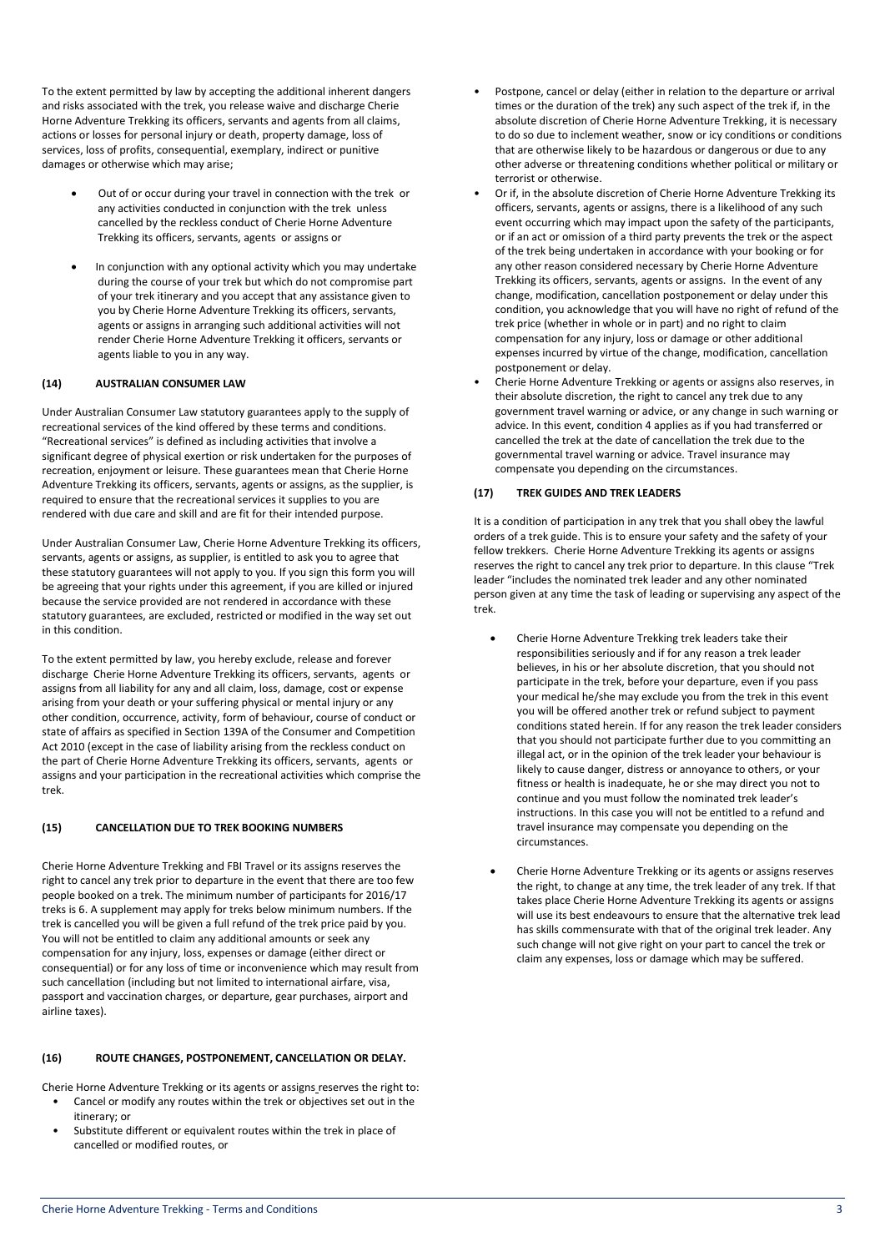To the extent permitted by law by accepting the additional inherent dangers and risks associated with the trek, you release waive and discharge Cherie Horne Adventure Trekking its officers, servants and agents from all claims, actions or losses for personal injury or death, property damage, loss of services, loss of profits, consequential, exemplary, indirect or punitive damages or otherwise which may arise;

- Out of or occur during your travel in connection with the trek or any activities conducted in conjunction with the trek unless cancelled by the reckless conduct of Cherie Horne Adventure Trekking its officers, servants, agents or assigns or
- In conjunction with any optional activity which you may undertake during the course of your trek but which do not compromise part of your trek itinerary and you accept that any assistance given to you by Cherie Horne Adventure Trekking its officers, servants, agents or assigns in arranging such additional activities will not render Cherie Horne Adventure Trekking it officers, servants or agents liable to you in any way.

# **(14) AUSTRALIAN CONSUMER LAW**

Under Australian Consumer Law statutory guarantees apply to the supply of recreational services of the kind offered by these terms and conditions. "Recreational services" is defined as including activities that involve a significant degree of physical exertion or risk undertaken for the purposes of recreation, enjoyment or leisure. These guarantees mean that Cherie Horne Adventure Trekking its officers, servants, agents or assigns, as the supplier, is required to ensure that the recreational services it supplies to you are rendered with due care and skill and are fit for their intended purpose.

Under Australian Consumer Law, Cherie Horne Adventure Trekking its officers, servants, agents or assigns, as supplier, is entitled to ask you to agree that these statutory guarantees will not apply to you. If you sign this form you will be agreeing that your rights under this agreement, if you are killed or injured because the service provided are not rendered in accordance with these statutory guarantees, are excluded, restricted or modified in the way set out in this condition.

To the extent permitted by law, you hereby exclude, release and forever discharge Cherie Horne Adventure Trekking its officers, servants, agents or assigns from all liability for any and all claim, loss, damage, cost or expense arising from your death or your suffering physical or mental injury or any other condition, occurrence, activity, form of behaviour, course of conduct or state of affairs as specified in Section 139A of the Consumer and Competition Act 2010 (except in the case of liability arising from the reckless conduct on the part of Cherie Horne Adventure Trekking its officers, servants, agents or assigns and your participation in the recreational activities which comprise the trek.

## **(15) CANCELLATION DUE TO TREK BOOKING NUMBERS**

Cherie Horne Adventure Trekking and FBI Travel or its assigns reserves the right to cancel any trek prior to departure in the event that there are too few people booked on a trek. The minimum number of participants for 2016/17 treks is 6. A supplement may apply for treks below minimum numbers. If the trek is cancelled you will be given a full refund of the trek price paid by you. You will not be entitled to claim any additional amounts or seek any compensation for any injury, loss, expenses or damage (either direct or consequential) or for any loss of time or inconvenience which may result from such cancellation (including but not limited to international airfare, visa, passport and vaccination charges, or departure, gear purchases, airport and airline taxes).

## **(16) ROUTE CHANGES, POSTPONEMENT, CANCELLATION OR DELAY.**

Cherie Horne Adventure Trekking or its agents or assigns reserves the right to:

- Cancel or modify any routes within the trek or objectives set out in the itinerary; or
- Substitute different or equivalent routes within the trek in place of cancelled or modified routes, or
- Postpone, cancel or delay (either in relation to the departure or arrival times or the duration of the trek) any such aspect of the trek if, in the absolute discretion of Cherie Horne Adventure Trekking, it is necessary to do so due to inclement weather, snow or icy conditions or conditions that are otherwise likely to be hazardous or dangerous or due to any other adverse or threatening conditions whether political or military or terrorist or otherwise.
- Or if, in the absolute discretion of Cherie Horne Adventure Trekking its officers, servants, agents or assigns, there is a likelihood of any such event occurring which may impact upon the safety of the participants, or if an act or omission of a third party prevents the trek or the aspect of the trek being undertaken in accordance with your booking or for any other reason considered necessary by Cherie Horne Adventure Trekking its officers, servants, agents or assigns. In the event of any change, modification, cancellation postponement or delay under this condition, you acknowledge that you will have no right of refund of the trek price (whether in whole or in part) and no right to claim compensation for any injury, loss or damage or other additional expenses incurred by virtue of the change, modification, cancellation postponement or delay.
- Cherie Horne Adventure Trekking or agents or assigns also reserves, in their absolute discretion, the right to cancel any trek due to any government travel warning or advice, or any change in such warning or advice. In this event, condition 4 applies as if you had transferred or cancelled the trek at the date of cancellation the trek due to the governmental travel warning or advice. Travel insurance may compensate you depending on the circumstances.

# **(17) TREK GUIDES AND TREK LEADERS**

It is a condition of participation in any trek that you shall obey the lawful orders of a trek guide. This is to ensure your safety and the safety of your fellow trekkers. Cherie Horne Adventure Trekking its agents or assigns reserves the right to cancel any trek prior to departure. In this clause "Trek leader "includes the nominated trek leader and any other nominated person given at any time the task of leading or supervising any aspect of the trek.

- Cherie Horne Adventure Trekking trek leaders take their responsibilities seriously and if for any reason a trek leader believes, in his or her absolute discretion, that you should not participate in the trek, before your departure, even if you pass your medical he/she may exclude you from the trek in this event you will be offered another trek or refund subject to payment conditions stated herein. If for any reason the trek leader considers that you should not participate further due to you committing an illegal act, or in the opinion of the trek leader your behaviour is likely to cause danger, distress or annoyance to others, or your fitness or health is inadequate, he or she may direct you not to continue and you must follow the nominated trek leader's instructions. In this case you will not be entitled to a refund and travel insurance may compensate you depending on the circumstances.
- Cherie Horne Adventure Trekking or its agents or assigns reserves the right, to change at any time, the trek leader of any trek. If that takes place Cherie Horne Adventure Trekking its agents or assigns will use its best endeavours to ensure that the alternative trek lead has skills commensurate with that of the original trek leader. Any such change will not give right on your part to cancel the trek or claim any expenses, loss or damage which may be suffered.